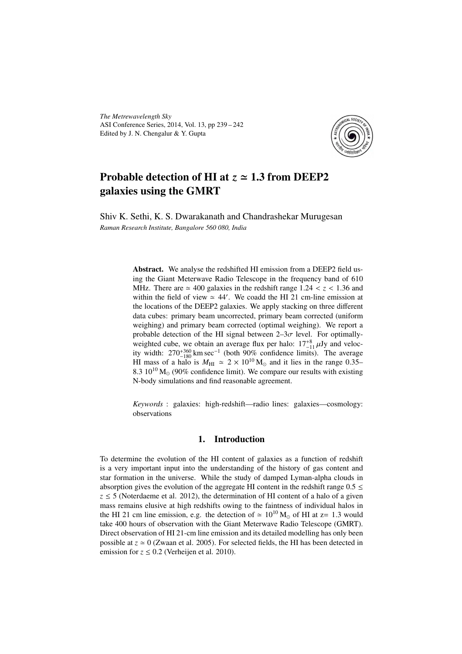*The Metrewavelength Sky* ASI Conference Series, 2014, Vol. 13, pp 239 – 242 Edited by J. N. Chengalur & Y. Gupta



# Probable detection of HI at  $z \approx 1.3$  from DEEP2 galaxies using the GMRT

Shiv K. Sethi, K. S. Dwarakanath and Chandrashekar Murugesan *Raman Research Institute, Bangalore 560 080, India*

> Abstract. We analyse the redshifted HI emission from a DEEP2 field using the Giant Meterwave Radio Telescope in the frequency band of 610 MHz. There are  $\simeq 400$  galaxies in the redshift range 1.24  $< z < 1.36$  and within the field of view  $\simeq 44'$ . We coadd the HI 21 cm-line emission at the locations of the DEEP2 galaxies. We apply stacking on three different data cubes: primary beam uncorrected, primary beam corrected (uniform weighing) and primary beam corrected (optimal weighing). We report a probable detection of the HI signal between  $2-3\sigma$  level. For optimallyweighted cube, we obtain an average flux per halo:  $17^{+8}_{-11}$   $\mu$ Jy and velocity width:  $270^{+360}_{-180}$  km sec<sup>-1</sup> (both 90% confidence limits). The average HI mass of a halo is  $M_{\text{HI}} \approx 2 \times 10^{10} \text{ M}_{\odot}$  and it lies in the range 0.35– 8.3  $10^{10}$  M<sub>o</sub> (90% confidence limit). We compare our results with existing N-body simulations and find reasonable agreement.

> *Keywords* : galaxies: high-redshift—radio lines: galaxies—cosmology: observations

## 1. Introduction

To determine the evolution of the HI content of galaxies as a function of redshift is a very important input into the understanding of the history of gas content and star formation in the universe. While the study of damped Lyman-alpha clouds in absorption gives the evolution of the aggregate HI content in the redshift range  $0.5 \le$  $z \leq 5$  (Noterdaeme et al. 2012), the determination of HI content of a halo of a given mass remains elusive at high redshifts owing to the faintness of individual halos in the HI 21 cm line emission, e.g. the detection of  $\simeq 10^{10}$  M<sub>o</sub> of HI at z= 1.3 would take 400 hours of observation with the Giant Meterwave Radio Telescope (GMRT). Direct observation of HI 21-cm line emission and its detailed modelling has only been possible at  $z \approx 0$  (Zwaan et al. 2005). For selected fields, the HI has been detected in emission for  $z \le 0.2$  (Verheijen et al. 2010).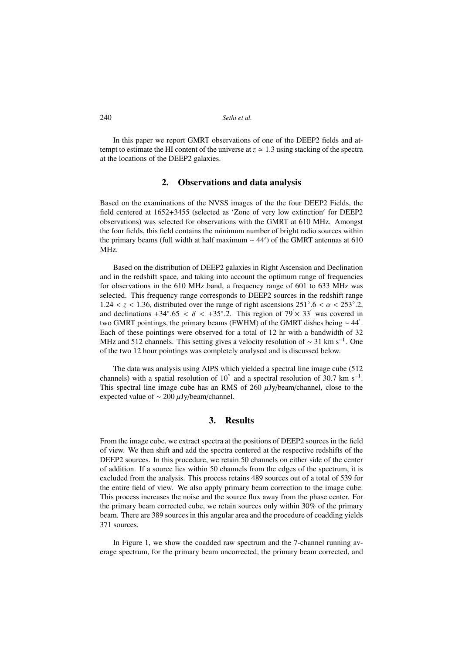240 *Sethi et al.*

In this paper we report GMRT observations of one of the DEEP2 fields and attempt to estimate the HI content of the universe at  $z \approx 1.3$  using stacking of the spectra at the locations of the DEEP2 galaxies.

#### 2. Observations and data analysis

Based on the examinations of the NVSS images of the the four DEEP2 Fields, the field centered at 1652+3455 (selected as 'Zone of very low extinction' for DEEP2 observations) was selected for observations with the GMRT at 610 MHz. Amongst the four fields, this field contains the minimum number of bright radio sources within the primary beams (full width at half maximum  $\sim$  44') of the GMRT antennas at 610 MHz.

Based on the distribution of DEEP2 galaxies in Right Ascension and Declination and in the redshift space, and taking into account the optimum range of frequencies for observations in the 610 MHz band, a frequency range of 601 to 633 MHz was selected. This frequency range corresponds to DEEP2 sources in the redshift range  $1.24 < z < 1.36$ , distributed over the range of right ascensions  $251°.6 < \alpha < 253°.2$ , and declinations +34°.65 <  $\delta$  < +35°.2. This region of 79' × 33' was covered in two GMRT pointings, the primary beams (FWHM) of the GMRT dishes being  $\sim 44'$ . Each of these pointings were observed for a total of 12 hr with a bandwidth of 32 MHz and 512 channels. This setting gives a velocity resolution of  $\sim$  31 km s<sup>-1</sup>. One of the two 12 hour pointings was completely analysed and is discussed below.

The data was analysis using AIPS which yielded a spectral line image cube (512 channels) with a spatial resolution of 10<sup>"</sup> and a spectral resolution of 30.7 km s<sup>-1</sup>. This spectral line image cube has an RMS of  $260 \mu Jy/beam/channel$ , close to the expected value of ∼ 200 µJy/beam/channel.

### 3. Results

From the image cube, we extract spectra at the positions of DEEP2 sources in the field of view. We then shift and add the spectra centered at the respective redshifts of the DEEP2 sources. In this procedure, we retain 50 channels on either side of the center of addition. If a source lies within 50 channels from the edges of the spectrum, it is excluded from the analysis. This process retains 489 sources out of a total of 539 for the entire field of view. We also apply primary beam correction to the image cube. This process increases the noise and the source flux away from the phase center. For the primary beam corrected cube, we retain sources only within 30% of the primary beam. There are 389 sources in this angular area and the procedure of coadding yields 371 sources.

In Figure 1, we show the coadded raw spectrum and the 7-channel running average spectrum, for the primary beam uncorrected, the primary beam corrected, and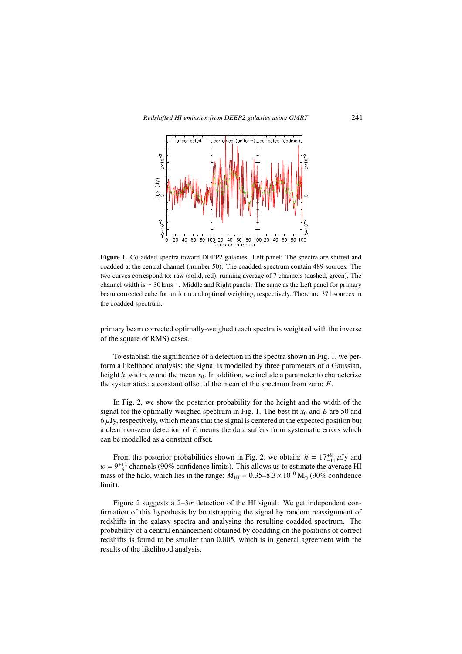

Figure 1. Co-added spectra toward DEEP2 galaxies. Left panel: The spectra are shifted and coadded at the central channel (number 50). The coadded spectrum contain 489 sources. The two curves correspond to: raw (solid, red), running average of 7 channels (dashed, green). The channel width is  $\simeq 30 \,\text{km}\text{s}^{-1}$ . Middle and Right panels: The same as the Left panel for primary beam corrected cube for uniform and optimal weighing, respectively. There are 371 sources in the coadded spectrum.

primary beam corrected optimally-weighed (each spectra is weighted with the inverse of the square of RMS) cases.

To establish the significance of a detection in the spectra shown in Fig. 1, we perform a likelihood analysis: the signal is modelled by three parameters of a Gaussian, height  $h$ , width,  $w$  and the mean  $x<sub>0</sub>$ . In addition, we include a parameter to characterize the systematics: a constant offset of the mean of the spectrum from zero: *E*.

In Fig. 2, we show the posterior probability for the height and the width of the signal for the optimally-weighed spectrum in Fig. 1. The best fit  $x_0$  and  $E$  are 50 and  $6 \mu$ Jy, respectively, which means that the signal is centered at the expected position but a clear non-zero detection of *E* means the data suffers from systematic errors which can be modelled as a constant offset.

From the posterior probabilities shown in Fig. 2, we obtain:  $h = 17^{+8}_{-11} \mu$ Jy and  $w = 9^{+12}_{-6}$  channels (90% confidence limits). This allows us to estimate the average HI mass of the halo, which lies in the range:  $M_{\text{HI}} = 0.35 - 8.3 \times 10^{10} \text{ M}_{\odot}$  (90% confidence limit).

Figure 2 suggests a  $2-3\sigma$  detection of the HI signal. We get independent confirmation of this hypothesis by bootstrapping the signal by random reassignment of redshifts in the galaxy spectra and analysing the resulting coadded spectrum. The probability of a central enhancement obtained by coadding on the positions of correct redshifts is found to be smaller than 0.005, which is in general agreement with the results of the likelihood analysis.